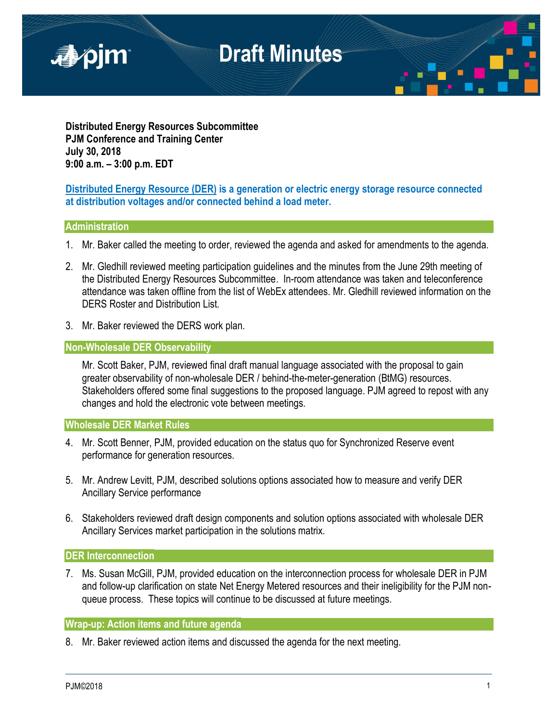

**Distributed Energy Resources Subcommittee PJM Conference and Training Center July 30, 2018 9:00 a.m. – 3:00 p.m. EDT**

# **Distributed Energy Resource (DER) is a generation or electric energy storage resource connected at distribution voltages and/or connected behind a load meter.**

# **Administration**

- 1. Mr. Baker called the meeting to order, reviewed the agenda and asked for amendments to the agenda.
- 2. Mr. Gledhill reviewed meeting participation guidelines and the minutes from the June 29th meeting of the Distributed Energy Resources Subcommittee. In-room attendance was taken and teleconference attendance was taken offline from the list of WebEx attendees. Mr. Gledhill reviewed information on the DERS Roster and Distribution List.
- 3. Mr. Baker reviewed the DERS work plan.

# **Non-Wholesale DER Observability**

Mr. Scott Baker, PJM, reviewed final draft manual language associated with the proposal to gain greater observability of non-wholesale DER / behind-the-meter-generation (BtMG) resources. Stakeholders offered some final suggestions to the proposed language. PJM agreed to repost with any changes and hold the electronic vote between meetings.

## **Wholesale DER Market Rules**

- 4. Mr. Scott Benner, PJM, provided education on the status quo for Synchronized Reserve event performance for generation resources.
- 5. Mr. Andrew Levitt, PJM, described solutions options associated how to measure and verify DER Ancillary Service performance
- 6. Stakeholders reviewed draft design components and solution options associated with wholesale DER Ancillary Services market participation in the solutions matrix.

## **DER Interconnection**

7. Ms. Susan McGill, PJM, provided education on the interconnection process for wholesale DER in PJM and follow-up clarification on state Net Energy Metered resources and their ineligibility for the PJM nonqueue process. These topics will continue to be discussed at future meetings.

# **Wrap-up: Action items and future agenda**

8. Mr. Baker reviewed action items and discussed the agenda for the next meeting.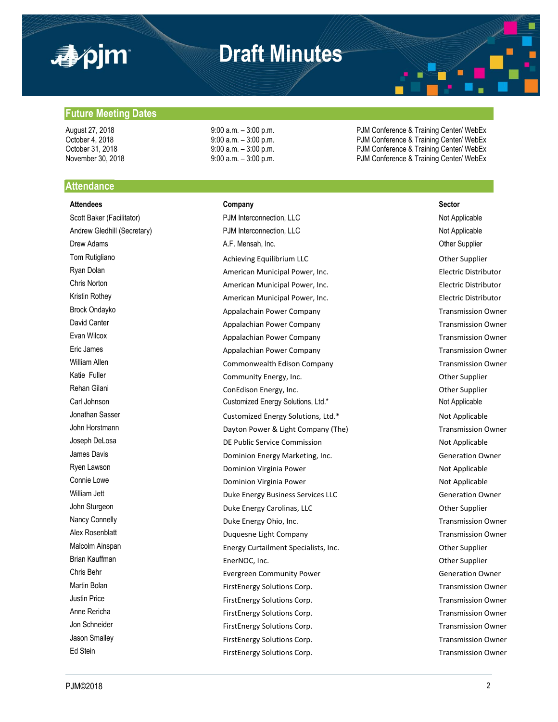

# **Draft Minutes**

August 27, 2018 **19:00 a.m.** – 3:00 p.m. **PJM Conference & Training Center/ WebEx** October 4, 2018 **19:00 a.m.** – 3:00 p.m. **PJM Conference & Training Center/ WebEx** October 31, 2018 **9:00 a.m.** – 3:00 p.m. PJM Conference & Training Center/ WebEx November 30, 2018 **9:00 a.m. – 3:00 p.m.** PJM Conference & Training Center/ WebEx

### **Future Meeting Dates**

### **Attendance**

#### **Attendees Company Sector**

Scott Baker (Facilitator) **PJM Interconnection, LLC** Not Applicable Not Applicable Andrew Gledhill (Secretary) **PJM Interconnection, LLC** Not Applicable Not Applicable Drew Adams **A.F. Mensah, Inc.** Character Adams Other Supplier Tom Rutigliano **Achieving Equilibrium LLC** and the Supplier of the Supplier of the Supplier Ryan Dolan **American Municipal Power, Inc.** American Municipal Power, Inc. **Electric Distributor** Chris Norton American Municipal Power, Inc. Electric Distributor Kristin Rothey **American Municipal Power, Inc.** American Municipal Power, Inc. **Electric Distributor** Brock Ondayko **Appalachain Power Company Appalachain Power Company** Transmission Owner David Canter **Appalachian Power Company** Transmission Owner Evan Wilcox **Evan Wilcox** Appalachian Power Company **Transmission Owner** Company **Transmission Owner** Eric James **Appalachian Power Company Appalachian Power Company Transmission Owner** William Allen **Commonwealth Edison Company** Company Transmission Owner Katie Fuller **Community Energy, Inc.** Community Energy, Inc. Rehan Gilani **ConEdison Energy, Inc.** ConEdison Energy, Inc. Comedition of the Supplier Carl Johnson Customized Energy Solutions, Ltd.\* Not Applicable Not Applicable Jonathan Sasser **Note Applicable** Customized Energy Solutions, Ltd.\* Not Applicable John Horstmann **Example 20 and Transmission Company (The)** Dayton Power & Light Company (The) Transmission Owner Joseph DeLosa **DE Public Service Commission** DE Public Service Commission James Davis Dominion Energy Marketing, Inc. Generation Owner Ryen Lawson **Not Applicable** Dominion Virginia Power Not Applicable Not Applicable Connie Lowe Connie Lowe Connie Lower Connie Lower Not Applicable William Jett **Constants Constructed Business Services LLC** Constants Construction Owner John Sturgeon **Duke Energy Carolinas, LLC** Other Supplier Nancy Connelly **Nancy Connelly Duke Energy Ohio, Inc.** The Connelly **Property Connelly Connelly Connelly Connelly Connelly Connelly Connelly Connelly Connelly Connelly Connelly Connelly Connelly** Alex Rosenblatt **Alex** Rosenblatt **Example 2** Duquesne Light Company **Transmission Owner** Transmission Owner Malcolm Ainspan **Energy Curtailment Specialists, Inc.** Charges of the Supplier Brian Kauffman **EnerNOC, Inc.** Character Controller Supplier Chris Behr **Exergreen Community Power** Community Power **Generation Owner** Martin Bolan **FirstEnergy Solutions Corp.** Transmission Owner Justin Price **FirstEnergy Solutions Corp.** Transmission Owner Anne Rericha FirstEnergy Solutions Corp. The FirstEnergy Solutions Corp. Jon Schneider **FirstEnergy Solutions Corp.** Transmission Owner Jason Smalley **FirstEnergy Solutions Corp.** Transmission Owner Ed Stein FirstEnergy Solutions Corp.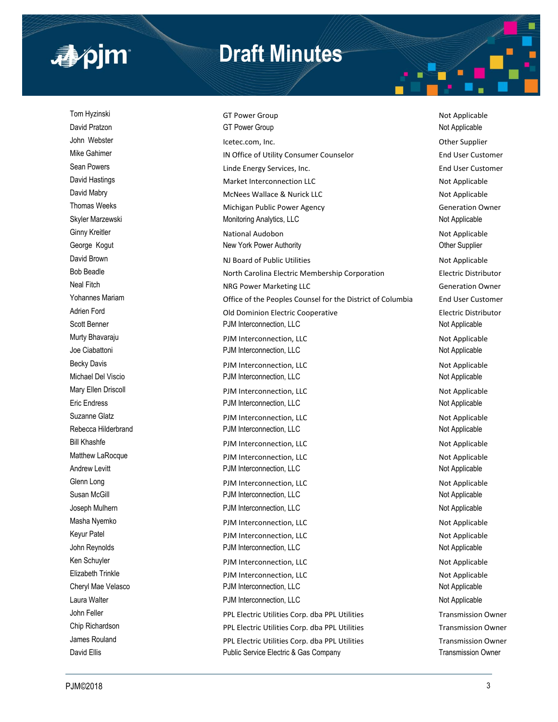

# **Draft Minutes**

Tom Hyzinski GT Power Group Not Applicable Not Applicable David Pratzon **COLL Accord COVID-COVID-COVID-COVID-COVID-COVID-COVID-COVID-COVID-COVID-COVID-COVID-COVID-COVID-COVID-COVID-COVID-COVID-COVID-COVID-COVID-COVID-COVID-COVID-COVID-COVID-COVID-COVID-COVID-COVID-COVID-COVID-COV** John Webster **Internal and American** Icetec.com, Inc. **Communist Communist Communist Communist Communist Communist Communist Communist Communist Communist Communist Communist Communist Communist Communist Communist Communi** Mike Gahimer **IN Office of Utility Consumer Counselor** End User Customer Sean Powers **Example 2** End User Customer Linde Energy Services, Inc. David Hastings **Market Interconnection LLC** and Market Interconnection LLC David Mabry **McNees Wallace & Nurick LLC** Not Applicable Thomas Weeks **Michigan Public Power Agency** Michigan Public Power Agency **Thomas Weeks** Generation Owner Skyler Marzewski **Monitoring Analytics, LLC** Not Applicable Not Applicable Ginny Kreitler **National Audobon** National Audobon Not Applicable George Kogut **New York Power Authority** Character Control of Supplier Character Character Character Character Character Character Character Character Character Character Character Character Character Character Character Ch David Brown NJ Board of Public Utilities Number 2012 10:00 Not Applicable Bob Beadle **North Carolina Electric Membership Corporation** Electric Distributor Neal Fitch **Neal Fitch** NRG Power Marketing LLC **NRG Power Marketing LLC** Generation Owner Yohannes Mariam Office of the Peoples Counsel for the District of Columbia End User Customer Adrien Ford **Electric Distributor** Old Dominion Electric Cooperative **Electric Distributor** Scott Benner **Not Applicable** PJM Interconnection, LLC **Not Applicable** Not Applicable Murty Bhavaraju **Number 2018** PJM Interconnection, LLC Not Applicable Joe Ciabattoni **Not Applicable** PJM Interconnection, LLC **Not Applicable** Not Applicable Becky Davis **PJM Interconnection, LLC** Not Applicable Michael Del Viscio **Not Applicable** PJM Interconnection, LLC Not Applicable Not Applicable Mary Ellen Driscoll **Not Applicable** PJM Interconnection, LLC Not Applicable Not Applicable Eric Endress PJM Interconnection, LLC Not Applicable Suzanne Glatz **PJM Interconnection, LLC** Not Applicable Rebecca Hilderbrand **PJM Interconnection, LLC** Not Applicable Bill Khashfe **Example 2018** PJM Interconnection, LLC **Not Applicable** Not Applicable Matthew LaRocque **Not Applicable** PJM Interconnection, LLC Not Applicable Andrew Levitt **Andrew Levitt** PJM Interconnection, LLC **Not Applicable** Not Applicable Glenn Long **Constanting Construction** PJM Interconnection, LLC **Construction** PJM Interconnection, LLC Susan McGill **Susan McGill PJM Interconnection, LLC Not Applicable** Not Applicable Joseph Mulhern **Number 2018** 2019 10 PJM Interconnection, LLC 2008 2019 10:30 Not Applicable Masha Nyemko **PJM Interconnection, LLC** Not Applicable Not Applicable Keyur Patel Not Applicable PJM Interconnection, LLC Not Applicable Not Applicable John Reynolds **PJM Interconnection, LLC** Not Applicable Not Applicable Ken Schuyler **Not Applicable** PJM Interconnection, LLC Not Applicable Not Applicable Elizabeth Trinkle **Elizabeth Trinkle** PJM Interconnection, LLC Cheryl Mae Velasco **Cheryl Mac Velasco** PJM Interconnection, LLC **Not Applicable** Not Applicable Laura Walter **Not Applicable** PJM Interconnection, LLC **Not Applicable** Not Applicable John Feller **PPL Electric Utilities Corp.** dba PPL Utilities Corp. Transmission Owner Chip Richardson **PPL Electric Utilities Corp.** dba PPL Utilities Corp. Transmission Owner James Rouland **PPL Electric Utilities Corp.** dba PPL Utilities Corp. Transmission Owner David Ellis **Ellis Public Service Electric & Gas Company Transmission Owner Transmission Owner**